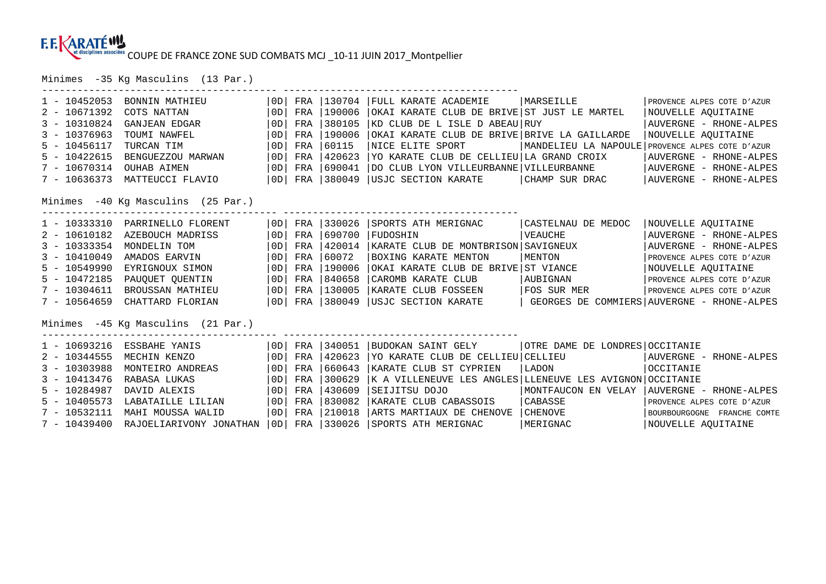---------------------------------------- ----------------------------------------

Minimes -35 Kg Masculins (13 Par.)

| $1 - 10452053$<br>$2 - 10671392$<br>$3 - 10310824$ | BONNIN MATHIEU<br>COTS NATTAN<br>GANJEAN EDGAR | OD  <br>$\overline{0}$<br>  0D | FRA<br>FRA<br>FRA | 130704<br>190006<br>380105 | FULL KARATE ACADEMIE<br>OKAI KARATE CLUB DE BRIVE ST JUST LE MARTEL<br>KD CLUB DE L ISLE D ABEAU RUY | MARSEILLE                      | PROVENCE ALPES COTE D'AZUR<br>NOUVELLE AOUITAINE<br>AUVERGNE - RHONE-ALPES |  |  |  |
|----------------------------------------------------|------------------------------------------------|--------------------------------|-------------------|----------------------------|------------------------------------------------------------------------------------------------------|--------------------------------|----------------------------------------------------------------------------|--|--|--|
| $3 - 10376963$                                     | TOUMI NAWFEL                                   | $\overline{0}$                 | FRA               | 190006                     | OKAI KARATE CLUB DE BRIVE BRIVE LA GAILLARDE                                                         |                                | NOUVELLE AOUITAINE                                                         |  |  |  |
| $5 - 10456117$                                     | TURCAN TIM                                     | OD                             | FRA               | 60115                      | NICE ELITE SPORT                                                                                     |                                | MANDELIEU LA NAPOULE PROVENCE ALPES COTE D'AZUR                            |  |  |  |
| $5 - 10422615$                                     | BENGUEZZOU MARWAN                              | OD                             | FRA               | 420623                     | YO KARATE CLUB DE CELLIEU LA GRAND CROIX                                                             |                                | AUVERGNE - RHONE-ALPES                                                     |  |  |  |
| $7 - 10670314$                                     | <b>OUHAB AIMEN</b>                             | OD                             | FRA               | 690041                     | DO CLUB LYON VILLEURBANNE VILLEURBANNE                                                               |                                | AUVERGNE - RHONE-ALPES                                                     |  |  |  |
| $7 - 10636373$                                     | MATTEUCCI FLAVIO                               | OD                             |                   |                            | FRA   380049   USJC SECTION KARATE                                                                   | CHAMP SUR DRAC                 | AUVERGNE - RHONE-ALPES                                                     |  |  |  |
| Minimes -40 Kg Masculins (25 Par.)                 |                                                |                                |                   |                            |                                                                                                      |                                |                                                                            |  |  |  |
| $1 - 10333310$                                     | PARRINELLO FLORENT                             | OD                             | FRA               | 330026<br>690700           | SPORTS ATH MERIGNAC                                                                                  | CASTELNAU DE MEDOC             | NOUVELLE AQUITAINE                                                         |  |  |  |
| $2 - 10610182$                                     | AZEBOUCH MADRISS                               | OD                             | FRA               | 420014                     | FUDOSHIN                                                                                             | VEAUCHE                        | AUVERGNE - RHONE-ALPES                                                     |  |  |  |
| $3 - 10333354$                                     | MONDELIN TOM                                   | 0D                             | FRA               |                            | KARATE CLUB DE MONTBRISON SAVIGNEUX                                                                  |                                | AUVERGNE - RHONE-ALPES                                                     |  |  |  |
| $3 - 10410049$                                     | AMADOS EARVIN                                  | OD                             | FRA               | 60072                      | BOXING KARATE MENTON                                                                                 | MENTON                         | PROVENCE ALPES COTE D'AZUR                                                 |  |  |  |
| $5 - 10549990$                                     | EYRIGNOUX SIMON                                | OD                             | FRA               | 1190006                    | OKAI KARATE CLUB DE BRIVE ST VIANCE                                                                  |                                | NOUVELLE AQUITAINE                                                         |  |  |  |
| $5 - 10472185$                                     | PAUQUET QUENTIN                                | OD                             | FRA               | 840658                     | CAROMB KARATE CLUB                                                                                   | AUBIGNAN                       | PROVENCE ALPES COTE D'AZUR                                                 |  |  |  |
| $7 - 10304611$                                     | BROUSSAN MATHIEU                               | OD                             | FRA               | 130005                     | KARATE CLUB FOSSEEN                                                                                  | FOS SUR MER                    | PROVENCE ALPES COTE D'AZUR                                                 |  |  |  |
| $7 - 10564659$                                     | CHATTARD FLORIAN                               | OD                             | FRA               | 380049                     | USJC SECTION KARATE                                                                                  |                                | GEORGES DE COMMIERS AUVERGNE - RHONE-ALPES                                 |  |  |  |
| Minimes -45 Kg Masculins (21 Par.)                 |                                                |                                |                   |                            |                                                                                                      |                                |                                                                            |  |  |  |
| $1 - 10693216$                                     | ESSBAHE YANIS                                  | OD                             | FRA               | 340051                     | BUDOKAN SAINT GELY                                                                                   | OTRE DAME DE LONDRES OCCITANIE |                                                                            |  |  |  |
| $2 - 10344555$                                     | MECHIN KENZO                                   | 0D                             | FRA               | 420623                     | YO KARATE CLUB DE CELLIEU CELLIEU                                                                    |                                | AUVERGNE - RHONE-ALPES                                                     |  |  |  |
| $3 - 10303988$                                     | MONTEIRO ANDREAS                               | 0D                             | FRA               | 660643                     | KARATE CLUB ST CYPRIEN                                                                               | LADON                          | OCCITANIE                                                                  |  |  |  |
| $3 - 10413476$                                     | RABASA LUKAS                                   | 0D                             | FRA               | 300629                     | K A VILLENEUVE LES ANGLES LLENEUVE LES AVIGNON OCCITANIE                                             |                                |                                                                            |  |  |  |
| $5 - 10284987$                                     | DAVID ALEXIS                                   | 0D                             | FRA               | 430609                     | SEIJITSU DOJO                                                                                        | MONTFAUCON EN VELAY            | AUVERGNE - RHONE-ALPES                                                     |  |  |  |
| $5 - 10405573$                                     | LABATAILLE LILIAN                              | 0D                             | FRA               | 830082                     | KARATE CLUB CABASSOIS                                                                                | CABASSE                        | PROVENCE ALPES COTE D'AZUR                                                 |  |  |  |
| $7 - 10532111$                                     | MAHI MOUSSA WALID                              | $\overline{O}$                 | FRA               | 210018                     | ARTS MARTIAUX DE CHENOVE                                                                             | CHENOVE                        | BOURBOURGOGNE FRANCHE COMTE                                                |  |  |  |
| $7 - 10439400$                                     | RAJOELIARIVONY JONATHAN                        | OD                             | FRA               | 330026                     | SPORTS ATH MERIGNAC                                                                                  | MERIGNAC                       | NOUVELLE AQUITAINE                                                         |  |  |  |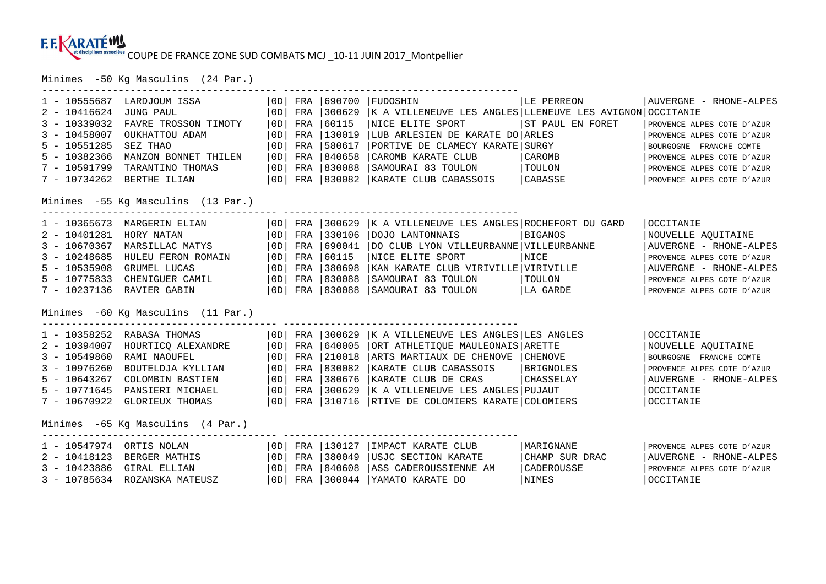Minimes -50 Kg Masculins (24 Par.)

| $1 - 10555687$<br>$2 - 10416624$<br>$3 - 10339032$<br>$3 - 10458007$<br>$5 - 10551285$<br>$5 - 10382366$<br>$7 - 10591799$<br>$7 - 10734262$ | LARDJOUM ISSA<br><b>JUNG PAUL</b><br>FAVRE TROSSON TIMOTY<br>OUKHATTOU ADAM<br>SEZ THAO<br>MANZON BONNET THILEN<br>TARANTINO THOMAS<br>BERTHE ILIAN<br>Minimes -55 Kg Masculins (13 Par.) | OD<br>0D<br>0 <sub>D</sub><br>0D<br>0 <sub>D</sub><br>0 <sub>D</sub><br>0 <sub>D</sub><br>0D | FRA<br>FRA<br>FRA<br>FRA<br>FRA<br>FRA<br>FRA<br>FRA | 690700<br>300629<br>60115<br>130019<br>580617<br>840658<br>830088<br>830082 | FUDOSHIN<br> K A VILLENEUVE LES ANGLES LLENEUVE LES AVIGNON OCCITANIE<br>NICE ELITE SPORT<br>LUB ARLESIEN DE KARATE DO ARLES<br>PORTIVE DE CLAMECY KARATE<br>CAROMB KARATE CLUB<br>SAMOURAI 83 TOULON<br>KARATE CLUB CABASSOIS  | LE PERREON<br>ST PAUL EN FORET<br>  SURGY<br>CAROMB<br>  TOULON<br>CABASSE | AUVERGNE - RHONE-ALPES<br>PROVENCE ALPES COTE D'AZUR<br>PROVENCE ALPES COTE D'AZUR<br>BOURGOGNE FRANCHE COMTE<br>PROVENCE ALPES COTE D'AZUR<br>PROVENCE ALPES COTE D'AZUR<br>PROVENCE ALPES COTE D'AZUR |
|----------------------------------------------------------------------------------------------------------------------------------------------|-------------------------------------------------------------------------------------------------------------------------------------------------------------------------------------------|----------------------------------------------------------------------------------------------|------------------------------------------------------|-----------------------------------------------------------------------------|---------------------------------------------------------------------------------------------------------------------------------------------------------------------------------------------------------------------------------|----------------------------------------------------------------------------|---------------------------------------------------------------------------------------------------------------------------------------------------------------------------------------------------------|
| $1 - 10365673$<br>$2 - 10401281$<br>$3 - 10670367$<br>$3 - 10248685$<br>$5 - 10535908$<br>$5 - 10775833$<br>$7 - 10237136$                   | MARGERIN ELIAN<br>HORY NATAN<br>MARSILLAC MATYS<br>HULEU FERON ROMAIN<br>GRUMEL LUCAS<br>CHENIGUER CAMIL<br>RAVIER GABIN<br>Minimes -60 Kg Masculins (11 Par.)                            | OD  <br>0 <sub>D</sub><br>0 <sub>D</sub><br>0 <sub>D</sub><br> OD <br>0D<br>  OD             | FRA<br>FRA<br>FRA<br>FRA<br>FRA<br>FRA<br>FRA        | 300629<br>330106<br>690041<br>60115<br>380698<br>830088<br>830088           | K A VILLENEUVE LES ANGLES ROCHEFORT DU GARD<br>DOJO LANTONNAIS<br>DO CLUB LYON VILLEURBANNE VILLEURBANNE<br>NICE ELITE SPORT<br>KAN KARATE CLUB VIRIVILLE VIRIVILLE<br>SAMOURAI 83 TOULON<br>SAMOURAI 83 TOULON                 | BIGANOS<br>NICE<br>TOULON<br>LA GARDE                                      | OCCITANIE<br>NOUVELLE AQUITAINE<br>AUVERGNE - RHONE-ALPES<br>PROVENCE ALPES COTE D'AZUR<br>AUVERGNE - RHONE-ALPES<br>PROVENCE ALPES COTE D'AZUR<br>PROVENCE ALPES COTE D'AZUR                           |
| $1 - 10358252$<br>$2 - 10394007$<br>$3 - 10549860$<br>$3 - 10976260$<br>$5 - 10643267$<br>$5 - 10771645$<br>$7 - 10670922$                   | RABASA THOMAS<br>HOURTICQ ALEXANDRE<br>RAMI NAOUFEL<br>BOUTELDJA KYLLIAN<br>COLOMBIN BASTIEN<br>PANSIERI MICHAEL<br>GLORIEUX THOMAS                                                       | OD <br>0D<br>0D<br>0 <sub>D</sub><br>0D<br>0 <sub>D</sub><br>OD                              | FRA<br>FRA<br>FRA<br>FRA<br>FRA<br>FRA<br>FRA        | 300629<br>640005<br>210018<br>830082<br>380676<br>300629<br>310716          | K A VILLENEUVE LES ANGLES LES ANGLES<br>ORT ATHLETIQUE MAULEONAIS ARETTE<br>ARTS MARTIAUX DE CHENOVE<br>KARATE CLUB CABASSOIS<br>KARATE CLUB DE CRAS<br>K A VILLENEUVE LES ANGLES PUJAUT<br>RTIVE DE COLOMIERS KARATE COLOMIERS | <b>CHENOVE</b><br>BRIGNOLES<br>  CHASSELAY                                 | OCCITANIE<br>NOUVELLE AQUITAINE<br>BOURGOGNE FRANCHE COMTE<br>PROVENCE ALPES COTE D'AZUR<br>AUVERGNE - RHONE-ALPES<br><b>OCCITANIE</b><br>OCCITANIE                                                     |
| $1 - 10547974$<br>$2 - 10418123$<br>$3 - 10423886$<br>$3 - 10785634$                                                                         | Minimes -65 Kg Masculins (4 Par.)<br>ORTIS NOLAN<br>BERGER MATHIS<br>GIRAL ELLIAN<br>ROZANSKA MATEUSZ                                                                                     | OD  <br>0D<br>0D<br>0D                                                                       | FRA<br>FRA<br>FRA<br>FRA                             | 130127<br>380049<br>840608<br>300044                                        | IMPACT KARATE CLUB<br>USJC SECTION KARATE<br>ASS CADEROUSSIENNE AM<br>YAMATO KARATE DO                                                                                                                                          | MARIGNANE<br>CHAMP SUR DRAC<br>CADEROUSSE<br>NIMES                         | PROVENCE ALPES COTE D'AZUR<br>AUVERGNE - RHONE-ALPES<br>PROVENCE ALPES COTE D'AZUR<br>OCCITANIE                                                                                                         |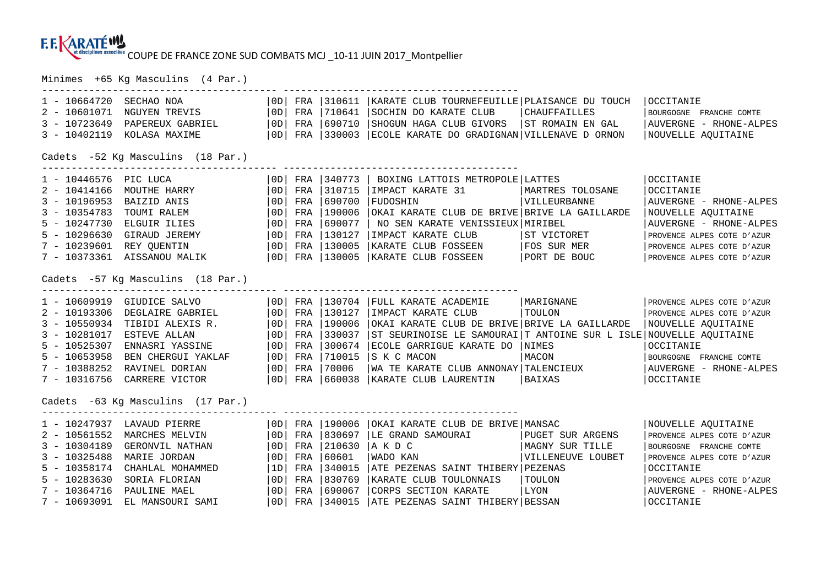---------------------------------------- ----------------------------------------

Minimes +65 Kg Masculins (4 Par.)

| $1 - 10664720$                    | SECHAO NOA         | 0D                                | FRA | 310611       | KARATE CLUB TOURNEFEUILLE PLAISANCE DU TOUCH                        |                     | OCCITANIE                  |  |  |  |  |
|-----------------------------------|--------------------|-----------------------------------|-----|--------------|---------------------------------------------------------------------|---------------------|----------------------------|--|--|--|--|
| $2 - 10601071$                    | NGUYEN TREVIS      | OD                                | FRA | 710641       | SOCHIN DO KARATE CLUB                                               | <b>CHAUFFAILLES</b> | BOURGOGNE FRANCHE COMTE    |  |  |  |  |
| $3 - 10723649$                    | PAPEREUX GABRIEL   | 0D                                | FRA | 690710       | SHOGUN HAGA CLUB GIVORS                                             | ST ROMAIN EN GAL    | AUVERGNE - RHONE-ALPES     |  |  |  |  |
| $3 - 10402119$                    | KOLASA MAXIME      | OD                                |     |              | FRA 330003 ECOLE KARATE DO GRADIGNAN VILLENAVE D ORNON              |                     | NOUVELLE AQUITAINE         |  |  |  |  |
|                                   |                    |                                   |     |              |                                                                     |                     |                            |  |  |  |  |
| Cadets -52 Kg Masculins (18 Par.) |                    |                                   |     |              |                                                                     |                     |                            |  |  |  |  |
| 1 - 10446576 PIC LUCA             |                    | OD                                |     | FRA 340773   | BOXING LATTOIS METROPOLE LATTES                                     |                     | OCCITANIE                  |  |  |  |  |
| $2 - 10414166$                    | MOUTHE HARRY       | 0D                                | FRA | 310715       | IMPACT KARATE 31                                                    | MARTRES TOLOSANE    | OCCITANIE                  |  |  |  |  |
| $3 - 10196953$                    | BAIZID ANIS        | 0D                                | FRA | 690700       | FUDOSHIN                                                            | VILLEURBANNE        | AUVERGNE - RHONE-ALPES     |  |  |  |  |
| $3 - 10354783$                    | TOUMI RALEM        | 0D                                | FRA | 190006       | OKAI KARATE CLUB DE BRIVE BRIVE LA GAILLARDE                        |                     | NOUVELLE AQUITAINE         |  |  |  |  |
| $5 - 10247730$                    | ELGUIR ILIES       | 0D                                | FRA | 690077       | NO SEN KARATE VENISSIEUX MIRIBEL                                    |                     | AUVERGNE - RHONE-ALPES     |  |  |  |  |
| $5 - 10296630$                    | GIRAUD JEREMY      | OD                                | FRA | 130127       | IMPACT KARATE CLUB                                                  | ST VICTORET         | PROVENCE ALPES COTE D'AZUR |  |  |  |  |
| $7 - 10239601$                    | REY QUENTIN        | 0D                                | FRA | 130005       | KARATE CLUB FOSSEEN                                                 | FOS SUR MER         | PROVENCE ALPES COTE D'AZUR |  |  |  |  |
| $7 - 10373361$                    | AISSANOU MALIK     | OD                                |     | FRA 130005   | KARATE CLUB FOSSEEN                                                 | PORT DE BOUC        | PROVENCE ALPES COTE D'AZUR |  |  |  |  |
| Cadets -57 Kg Masculins (18 Par.) |                    |                                   |     |              |                                                                     |                     |                            |  |  |  |  |
| 1 - 10609919                      | GIUDICE SALVO      | OD                                |     |              | FRA   130704   FULL KARATE ACADEMIE                                 | MARIGNANE           | PROVENCE ALPES COTE D'AZUR |  |  |  |  |
| $2 - 10193306$                    | DEGLAIRE GABRIEL   | $\overline{\overline{\text{OD}}}$ | FRA | 130127       | IMPACT KARATE CLUB                                                  | TOULON              | PROVENCE ALPES COTE D'AZUR |  |  |  |  |
| $3 - 10550934$                    | TIBIDI ALEXIS R.   | OD                                | FRA | 190006       | OKAI KARATE CLUB DE BRIVE BRIVE LA GAILLARDE                        |                     | NOUVELLE AOUITAINE         |  |  |  |  |
| $3 - 10281017$                    | ESTEVE ALLAN       | $\overline{\overline{\text{OD}}}$ | FRA | 330037       | ST SEURINOISE LE SAMOURAI   T ANTOINE SUR L ISLE NOUVELLE AQUITAINE |                     |                            |  |  |  |  |
| $5 - 10525307$                    | ENNASRI YASSINE    | 0D                                | FRA | 300674       | ECOLE GARRIGUE KARATE DO                                            | NIMES               | OCCITANIE                  |  |  |  |  |
| $5 - 10653958$                    | BEN CHERGUI YAKLAF | 0D                                | FRA | 710015       | IS K C MACON                                                        | MACON               | BOURGOGNE FRANCHE COMTE    |  |  |  |  |
| $7 - 10388252$                    | RAVINEL DORIAN     | $\overline{\overline{\text{OD}}}$ | FRA | 70006        | WA TE KARATE CLUB ANNONAY TALENCIEUX                                |                     | AUVERGNE - RHONE-ALPES     |  |  |  |  |
| $7 - 10316756$                    | CARRERE VICTOR     | OD                                | FRA |              | 660038   KARATE CLUB LAURENTIN                                      | BAIXAS              | <b>OCCITANIE</b>           |  |  |  |  |
| Cadets -63 Kg Masculins (17 Par.) |                    |                                   |     |              |                                                                     |                     |                            |  |  |  |  |
| 1 - 10247937                      | LAVAUD PIERRE      | OD                                |     | FRA   190006 | OKAI KARATE CLUB DE BRIVE   MANSAC                                  |                     | NOUVELLE AQUITAINE         |  |  |  |  |
| $2 - 10561552$                    | MARCHES MELVIN     | 0D                                | FRA | 830697       | LE GRAND SAMOURAI                                                   | PUGET SUR ARGENS    | PROVENCE ALPES COTE D'AZUR |  |  |  |  |
| $3 - 10304189$                    | GERONVIL NATHAN    | OD                                | FRA | 210630       | AKDC                                                                | MAGNY SUR TILLE     | BOURGOGNE FRANCHE COMTE    |  |  |  |  |
| $3 - 10325488$                    | MARIE JORDAN       | 0D                                | FRA | 60601        | WADO KAN                                                            | VILLENEUVE LOUBET   | PROVENCE ALPES COTE D'AZUR |  |  |  |  |
| $5 - 10358174$                    | CHAHLAL MOHAMMED   | 1D                                | FRA | 340015       | ATE PEZENAS SAINT THIBERY PEZENAS                                   |                     | OCCITANIE                  |  |  |  |  |
| $5 - 10283630$                    | SORIA FLORIAN      | 0D                                | FRA | 830769       | KARATE CLUB TOULONNAIS                                              | TOULON              | PROVENCE ALPES COTE D'AZUR |  |  |  |  |
| $7 - 10364716$                    | PAULINE MAEL       | OD                                | FRA | 690067       | CORPS SECTION KARATE                                                | LYON                | AUVERGNE - RHONE-ALPES     |  |  |  |  |
| $7 - 10693091$                    | EL MANSOURI SAMI   | OD                                | FRA |              | 340015   ATE PEZENAS SAINT THIBERY   BESSAN                         |                     | OCCITANIE                  |  |  |  |  |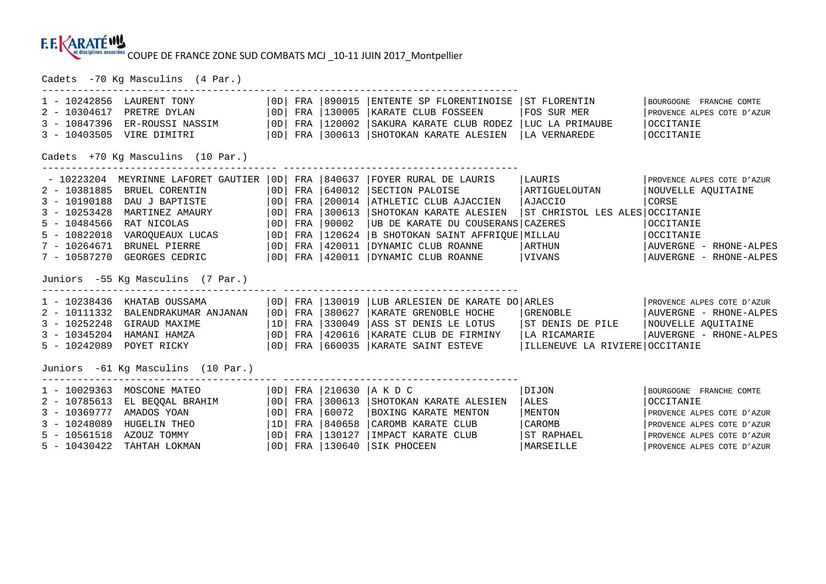Cadets -70 Kg Masculins (4 Par.)

| 1 - 10242856                       | LAURENT TONY                      | OD                                |     |                  | FRA 1890015 ENTENTE SP FLORENTINOISE ST FLORENTIN                         |                                | BOURGOGNE FRANCHE COMTE    |  |  |
|------------------------------------|-----------------------------------|-----------------------------------|-----|------------------|---------------------------------------------------------------------------|--------------------------------|----------------------------|--|--|
| $2 - 10304617$                     | PRETRE DYLAN                      | OD                                |     | FRA 130005       | KARATE CLUB FOSSEEN                                                       | FOS SUR MER                    | PROVENCE ALPES COTE D'AZUR |  |  |
| $3 - 10847396$                     | ER-ROUSSI NASSIM                  | OD                                |     | FRA 120002       | SAKURA KARATE CLUB RODEZ                                                  | LUC LA PRIMAUBE                | OCCITANIE                  |  |  |
| $3 - 10403505$                     | VIRE DIMITRI                      | OD                                |     |                  | FRA   300613   SHOTOKAN KARATE ALESIEN                                    | LA VERNAREDE                   | <b>OCCITANIE</b>           |  |  |
|                                    | Cadets +70 Kg Masculins (10 Par.) |                                   |     |                  |                                                                           |                                |                            |  |  |
| - 10223204                         | MEYRINNE LAFORET GAUTIER 10D1     |                                   | FRA |                  | 1840637 FOYER RURAL DE LAURIS                                             | LAURIS                         | PROVENCE ALPES COTE D'AZUR |  |  |
| $2 - 10381885$                     | BRUEL CORENTIN                    | $\overline{\overline{\text{OD}}}$ | FRA | 640012           | SECTION PALOISE                                                           | ARTIGUELOUTAN                  | NOUVELLE AQUITAINE         |  |  |
| $3 - 10190188$                     | DAU J BAPTISTE                    | $\overline{10D}$                  | FRA | 200014           | ATHLETIC CLUB AJACCIEN                                                    | AJACCIO                        | CORSE                      |  |  |
| $3 - 10253428$                     | MARTINEZ AMAURY                   | $\overline{10D}$                  | FRA | 300613           | SHOTOKAN KARATE ALESIEN                                                   | ST CHRISTOL LES ALES OCCITANIE |                            |  |  |
| $5 - 10484566$                     | RAT NICOLAS                       | $\overline{O}$                    | FRA | 90002            | UB DE KARATE DU COUSERANS CAZERES                                         |                                | OCCITANIE                  |  |  |
| $5 - 10822018$                     | VAROOUEAUX LUCAS                  | 10D                               | FRA | 120624           | B SHOTOKAN SAINT AFFRIQUE MILLAU                                          |                                | OCCITANIE                  |  |  |
| $7 - 10264671$                     | BRUNEL PIERRE                     | OD                                | FRA | 420011           | DYNAMIC CLUB ROANNE                                                       | ARTHUN                         | AUVERGNE - RHONE-ALPES     |  |  |
| 7 - 10587270                       | GEORGES CEDRIC                    | OD                                |     |                  | FRA   420011   DYNAMIC CLUB ROANNE                                        | VIVANS                         | AUVERGNE - RHONE-ALPES     |  |  |
|                                    | Juniors -55 Kg Masculins (7 Par.) |                                   |     |                  |                                                                           |                                |                            |  |  |
|                                    | 1 - 10238436 KHATAB OUSSAMA       | OD                                |     |                  | FRA   130019   LUB ARLESIEN DE KARATE DO   ARLES                          |                                | PROVENCE ALPES COTE D'AZUR |  |  |
| 2 - 10111332                       | BALENDRAKUMAR ANJANAN             | $\overline{10D}$                  |     | FRA 380627       | KARATE GRENOBLE HOCHE                                                     | GRENOBLE                       | AUVERGNE - RHONE-ALPES     |  |  |
| $3 - 10252248$                     | GIRAUD MAXIME                     | 1D                                |     |                  | FRA 330049 ASS ST DENIS LE LOTUS                                          | ST DENIS DE PILE               | NOUVELLE AQUITAINE         |  |  |
| $3 - 10345204$                     | HAMANI HAMZA                      | OD                                |     |                  | FRA   420616   KARATE CLUB DE FIRMINY                                     | LA RICAMARIE                   | AUVERGNE - RHONE-ALPES     |  |  |
| $5 - 10242089$                     | POYET RICKY                       |                                   |     |                  | OD  FRA   660035   KARATE SAINT ESTEVE   ILLENEUVE LA RIVIERE   OCCITANIE |                                |                            |  |  |
| Juniors -61 Kg Masculins (10 Par.) |                                   |                                   |     |                  |                                                                           |                                |                            |  |  |
| $1 - 10029363$                     | MOSCONE MATEO                     | OD                                | FRA |                  | ____________________________________<br>$\vert$ 210630 $\vert$ AKDC       | DIJON                          | BOURGOGNE FRANCHE COMTE    |  |  |
| $2 - 10785613$                     | EL BEQQAL BRAHIM                  | $\overline{O}$                    | FRA | $ 300613\rangle$ | SHOTOKAN KARATE ALESIEN                                                   | ALES                           | OCCITANIE                  |  |  |
| $3 - 10369777$                     | AMADOS YOAN                       | OD                                | FRA | 60072            | BOXING KARATE MENTON                                                      | MENTON                         | PROVENCE ALPES COTE D'AZUR |  |  |
| $3 - 10248089$                     | HUGELIN THEO                      | 1D                                | FRA | 840658           | CAROMB KARATE CLUB                                                        | CAROMB                         | PROVENCE ALPES COTE D'AZUR |  |  |
| $5 - 10561518$                     | AZOUZ TOMMY                       | 10D                               | FRA | 130127           | IMPACT KARATE CLUB                                                        | IST RAPHAEL                    | PROVENCE ALPES COTE D'AZUR |  |  |
| $5 - 10430422$                     | TAHTAH LOKMAN                     | OD                                |     | FRA 1130640      | SIK PHOCEEN                                                               | MARSEILLE                      | PROVENCE ALPES COTE D'AZUR |  |  |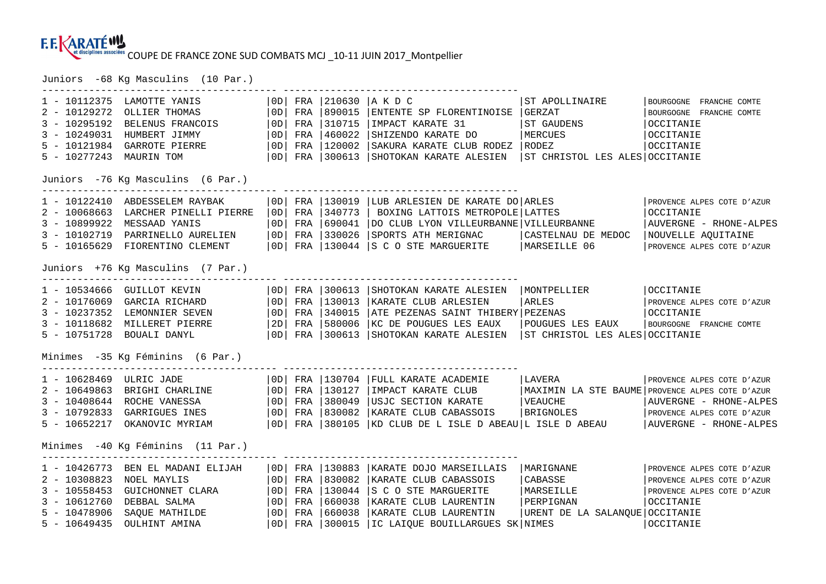Juniors -68 Kg Masculins (10 Par.)

| 1 - 10112375<br>$2 - 10129272$<br>$3 - 10295192$<br>$3 - 10249031$<br>$5 - 10121984$<br>$5 - 10277243$   | LAMOTTE YANIS<br>OLLIER THOMAS<br>BELENUS FRANCOIS<br>HUMBERT JIMMY<br>GARROTE PIERRE<br>MAURIN TOM        | OD <sub>1</sub><br>0D<br>OD<br>0D<br>0D<br>0D.  | FRA<br>FRA<br>FRA<br>FRA<br>FRA<br>FRA | 890015<br>310715<br>460022<br>120002<br>300613           | 210630  A K D C<br>ENTENTE SP FLORENTINOISE GERZAT<br>IMPACT KARATE 31<br>SHIZENDO KARATE DO<br>SAKURA KARATE CLUB RODEZ<br>SHOTOKAN KARATE ALESIEN                | ST APOLLINAIRE<br>ST GAUDENS<br>MERCUES<br>  RODEZ<br>ST CHRISTOL LES ALES OCCITANIE | BOURGOGNE<br>FRANCHE COMTE<br>BOURGOGNE FRANCHE COMTE<br>OCCITANIE<br>OCCITANIE<br>OCCITANIE                                                                    |  |  |
|----------------------------------------------------------------------------------------------------------|------------------------------------------------------------------------------------------------------------|-------------------------------------------------|----------------------------------------|----------------------------------------------------------|--------------------------------------------------------------------------------------------------------------------------------------------------------------------|--------------------------------------------------------------------------------------|-----------------------------------------------------------------------------------------------------------------------------------------------------------------|--|--|
|                                                                                                          | Juniors -76 Kg Masculins (6 Par.)                                                                          |                                                 |                                        |                                                          |                                                                                                                                                                    |                                                                                      |                                                                                                                                                                 |  |  |
| $1 - 10122410$<br>$2 - 10068663$<br>$3 - 10899922$<br>$3 - 10102719$<br>$5 - 10165629$                   | ABDESSELEM RAYBAK<br>LARCHER PINELLI PIERRE<br>MESSAAD YANIS<br>PARRINELLO AURELIEN<br>FIORENTINO CLEMENT  | OD <br>OD<br>OD<br>0 <sub>D</sub><br>0D         | FRA<br>FRA<br>FRA<br>FRA<br>FRA        | 130019<br>340773<br>690041<br>330026                     | LUB ARLESIEN DE KARATE DO ARLES<br>BOXING LATTOIS METROPOLE LATTES<br>DO CLUB LYON VILLEURBANNE VILLEURBANNE<br>SPORTS ATH MERIGNAC<br>130044 S C O STE MARGUERITE | CASTELNAU DE MEDOC<br>MARSEILLE 06                                                   | PROVENCE ALPES COTE D'AZUR<br>OCCITANIE<br>AUVERGNE - RHONE-ALPES<br>NOUVELLE AQUITAINE<br>PROVENCE ALPES COTE D'AZUR                                           |  |  |
| Juniors +76 Kg Masculins (7 Par.)                                                                        |                                                                                                            |                                                 |                                        |                                                          |                                                                                                                                                                    |                                                                                      |                                                                                                                                                                 |  |  |
| 1 - 10534666<br>$2 - 10176069$<br>$3 - 10237352$<br>$3 - 10118682$<br>$5 - 10751728$                     | GUILLOT KEVIN<br>GARCIA RICHARD<br>LEMONNIER SEVEN<br>MILLERET PIERRE<br>BOUALI DANYL                      | OD <br>OD  <br> OD <br>2D<br>  OD               | FRA<br>FRA<br>FRA<br>FRA<br>FRA        | 130013<br>340015<br> 580006                              | 300613 SHOTOKAN KARATE ALESIEN<br>KARATE CLUB ARLESIEN<br>ATE PEZENAS SAINT THIBERY PEZENAS<br>KC DE POUGUES LES EAUX<br> 300613   SHOTOKAN KARATE ALESIEN         | MONTPELLIER<br>ARLES<br>POUGUES LES EAUX<br>ST CHRISTOL LES ALES OCCITANIE           | OCCITANIE<br>PROVENCE ALPES COTE D'AZUR<br>OCCITANIE<br>BOURGOGNE FRANCHE COMTE                                                                                 |  |  |
|                                                                                                          | Minimes -35 Kg Féminins (6 Par.)                                                                           |                                                 |                                        |                                                          |                                                                                                                                                                    |                                                                                      |                                                                                                                                                                 |  |  |
| 1 - 10628469<br>$2 - 10649863$<br>$3 - 10408644$<br>$3 - 10792833$<br>$5 - 10652217$                     | ULRIC JADE<br>BRIGHI CHARLINE<br>ROCHE VANESSA<br>GARRIGUES INES<br>OKANOVIC MYRIAM                        | OD  <br> OD <br>OD  <br>OD<br>  OD              | FRA<br>FRA<br>FRA<br>FRA<br>FRA        | 130127<br>380049<br> 830082                              | 130704 FULL KARATE ACADEMIE<br>IMPACT KARATE CLUB<br>USJC SECTION KARATE<br>KARATE CLUB CABASSOIS<br>$ 380105 $ KD CLUB DE L ISLE D ABEAU L ISLE D ABEAU           | LAVERA<br>  VEAUCHE<br>BRIGNOLES                                                     | PROVENCE ALPES COTE D'AZUR<br>MAXIMIN LA STE BAUME PROVENCE ALPES COTE D'AZUR<br>AUVERGNE - RHONE-ALPES<br>PROVENCE ALPES COTE D'AZUR<br>AUVERGNE - RHONE-ALPES |  |  |
| Minimes -40 Kg Féminins (11 Par.)                                                                        |                                                                                                            |                                                 |                                        |                                                          |                                                                                                                                                                    |                                                                                      |                                                                                                                                                                 |  |  |
| $1 - 10426773$<br>$2 - 10308823$<br>$3 - 10558453$<br>$3 - 10612760$<br>$5 - 10478906$<br>$5 - 10649435$ | BEN EL MADANI ELIJAH<br>NOEL MAYLIS<br>GUICHONNET CLARA<br>DEBBAL SALMA<br>SAOUE MATHILDE<br>OULHINT AMINA | OD <br> OD <br>OD<br>OD<br>0 <sub>D</sub><br>OD | FRA<br>FRA<br>FRA<br>FRA<br>FRA<br>FRA | 130883<br>830082<br>130044<br>660038<br>660038<br>300015 | KARATE DOJO MARSEILLAIS<br>KARATE CLUB CABASSOIS<br>S C O STE MARGUERITE<br>KARATE CLUB LAURENTIN<br>KARATE CLUB LAURENTIN<br>IC LAIQUE BOUILLARGUES SK NIMES      | MARIGNANE<br>CABASSE<br>MARSEILLE<br>PERPIGNAN<br>URENT DE LA SALANOUE OCCITANIE     | PROVENCE ALPES COTE D'AZUR<br>PROVENCE ALPES COTE D'AZUR<br>PROVENCE ALPES COTE D'AZUR<br>OCCITANIE<br>OCCITANIE                                                |  |  |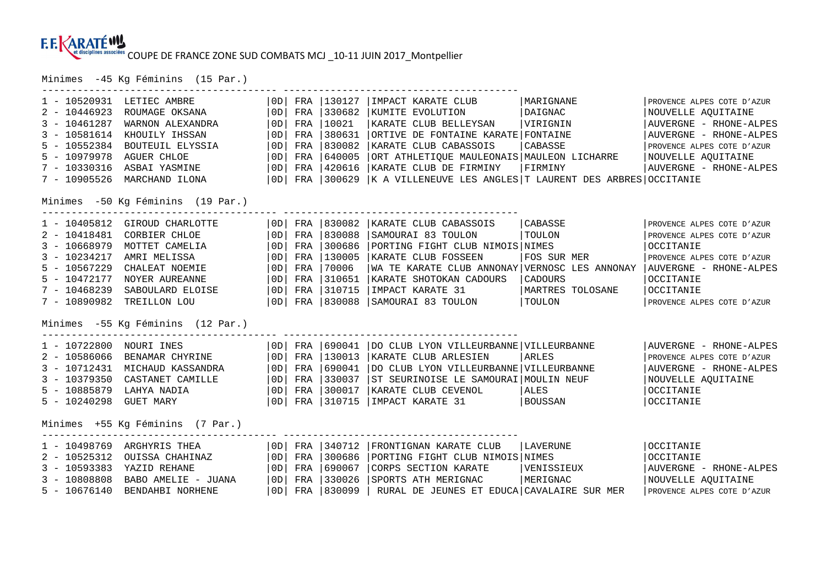Minimes -45 Kg Féminins (15 Par.)

| $1 - 10520931$                    | LETIEC AMBRE                      | OD             | FRA | 130127 | IMPACT KARATE CLUB                                       | MARIGNANE        | PROVENCE ALPES COTE D'AZUR |  |  |  |
|-----------------------------------|-----------------------------------|----------------|-----|--------|----------------------------------------------------------|------------------|----------------------------|--|--|--|
| $2 - 10446923$                    | ROUMAGE OKSANA                    | 0D             | FRA | 330682 | KUMITE EVOLUTION                                         | DAIGNAC          | NOUVELLE AQUITAINE         |  |  |  |
| $3 - 10461287$                    | WARNON ALEXANDRA                  | 0D             | FRA | 10021  | KARATE CLUB BELLEYSAN                                    | VIRIGNIN         | AUVERGNE - RHONE-ALPES     |  |  |  |
| $3 - 10581614$                    | KHOUILY IHSSAN                    | 0D             | FRA | 380631 | ORTIVE DE FONTAINE KARATE FONTAINE                       |                  | AUVERGNE - RHONE-ALPES     |  |  |  |
| $5 - 10552384$                    | BOUTEUIL ELYSSIA                  | $\overline{0}$ | FRA | 830082 | KARATE CLUB CABASSOIS                                    | CABASSE          | PROVENCE ALPES COTE D'AZUR |  |  |  |
| $5 - 10979978$                    | <b>AGUER CHLOE</b>                | OD             | FRA | 640005 | ORT ATHLETIQUE MAULEONAIS MAULEON LICHARRE               |                  | NOUVELLE AQUITAINE         |  |  |  |
| $7 - 10330316$                    | ASBAI YASMINE                     | 0D             | FRA | 420616 | KARATE CLUB DE FIRMINY                                   | FIRMINY          | AUVERGNE - RHONE-ALPES     |  |  |  |
| $7 - 10905526$                    | MARCHAND ILONA                    | OD             | FRA | 300629 | K A VILLENEUVE LES ANGLES T LAURENT DES ARBRES OCCITANIE |                  |                            |  |  |  |
|                                   |                                   |                |     |        |                                                          |                  |                            |  |  |  |
| Minimes -50 Kg Féminins (19 Par.) |                                   |                |     |        |                                                          |                  |                            |  |  |  |
| $1 - 10405812$                    | GIROUD CHARLOTTE                  | OD             | FRA | 830082 | KARATE CLUB CABASSOIS                                    | CABASSE          | PROVENCE ALPES COTE D'AZUR |  |  |  |
| $2 - 10418481$                    | CORBIER CHLOE                     | 0D             | FRA | 830088 | SAMOURAI 83 TOULON                                       | TOULON           | PROVENCE ALPES COTE D'AZUR |  |  |  |
| $3 - 10668979$                    | MOTTET CAMELIA                    | OD             | FRA | 300686 | PORTING FIGHT CLUB NIMOIS NIMES                          |                  | OCCITANIE                  |  |  |  |
| $3 - 10234217$                    | AMRI MELISSA                      | OD             | FRA | 130005 | KARATE CLUB FOSSEEN                                      | FOS SUR MER      | PROVENCE ALPES COTE D'AZUR |  |  |  |
| $5 - 10567229$                    | CHALEAT NOEMIE                    | OD             | FRA | 70006  | WA TE KARATE CLUB ANNONAY VERNOSC LES ANNONAY            |                  | AUVERGNE - RHONE-ALPES     |  |  |  |
| $5 - 10472177$                    | NOYER AUREANNE                    | OD             | FRA | 310651 | KARATE SHOTOKAN CADOURS                                  | CADOURS          | OCCITANIE                  |  |  |  |
| $7 - 10468239$                    | SABOULARD ELOISE                  | $\overline{O}$ | FRA | 310715 | IMPACT KARATE 31                                         | MARTRES TOLOSANE | OCCITANIE                  |  |  |  |
| $7 - 10890982$                    | TREILLON LOU                      | OD             | FRA | 830088 | SAMOURAI 83 TOULON                                       | TOULON           | PROVENCE ALPES COTE D'AZUR |  |  |  |
|                                   |                                   |                |     |        |                                                          |                  |                            |  |  |  |
|                                   | Minimes -55 Kg Féminins (12 Par.) |                |     |        |                                                          |                  |                            |  |  |  |
| $1 - 10722800$                    | NOURI INES                        | OD             | FRA | 690041 | DO CLUB LYON VILLEURBANNE VILLEURBANNE                   |                  | AUVERGNE - RHONE-ALPES     |  |  |  |
| $2 - 10586066$                    | BENAMAR CHYRINE                   | OD             | FRA | 130013 | KARATE CLUB ARLESIEN                                     | ARLES            | PROVENCE ALPES COTE D'AZUR |  |  |  |
| $3 - 10712431$                    | MICHAUD KASSANDRA                 | OD             | FRA | 690041 | DO CLUB LYON VILLEURBANNE VILLEURBANNE                   |                  | AUVERGNE - RHONE-ALPES     |  |  |  |
| $3 - 10379350$                    | CASTANET CAMILLE                  | OD             | FRA | 330037 | ST SEURINOISE LE SAMOURAI MOULIN NEUF                    |                  | NOUVELLE AOUITAINE         |  |  |  |
| $5 - 10885879$                    | LAHYA NADIA                       | OD             | FRA | 300017 | KARATE CLUB CEVENOL                                      | ALES             | OCCITANIE                  |  |  |  |
| $5 - 10240298$                    | <b>GUET MARY</b>                  | OD             | FRA | 310715 | IMPACT KARATE 31                                         | BOUSSAN          | OCCITANIE                  |  |  |  |
|                                   |                                   |                |     |        |                                                          |                  |                            |  |  |  |
| Minimes +55 Kg Féminins (7 Par.)  |                                   |                |     |        |                                                          |                  |                            |  |  |  |
| $1 - 10498769$                    | ARGHYRIS THEA                     | OD             | FRA | 340712 | FRONTIGNAN KARATE CLUB                                   | LAVERUNE         | OCCITANIE                  |  |  |  |
| $2 - 10525312$                    | OUISSA CHAHINAZ                   | OD             | FRA | 300686 | PORTING FIGHT CLUB NIMOIS NIMES                          |                  | OCCITANIE                  |  |  |  |
| $3 - 10593383$                    | YAZID REHANE                      | OD             | FRA | 690067 | CORPS SECTION KARATE                                     | VENISSIEUX       | AUVERGNE - RHONE-ALPES     |  |  |  |
| $3 - 10808808$                    | BABO AMELIE - JUANA               | OD             | FRA | 330026 | SPORTS ATH MERIGNAC                                      | MERIGNAC         | NOUVELLE AQUITAINE         |  |  |  |
| $5 - 10676140$                    | BENDAHBI NORHENE                  | OD             | FRA | 830099 | RURAL DE JEUNES ET EDUCA CAVALAIRE SUR MER               |                  | PROVENCE ALPES COTE D'AZUR |  |  |  |
|                                   |                                   |                |     |        |                                                          |                  |                            |  |  |  |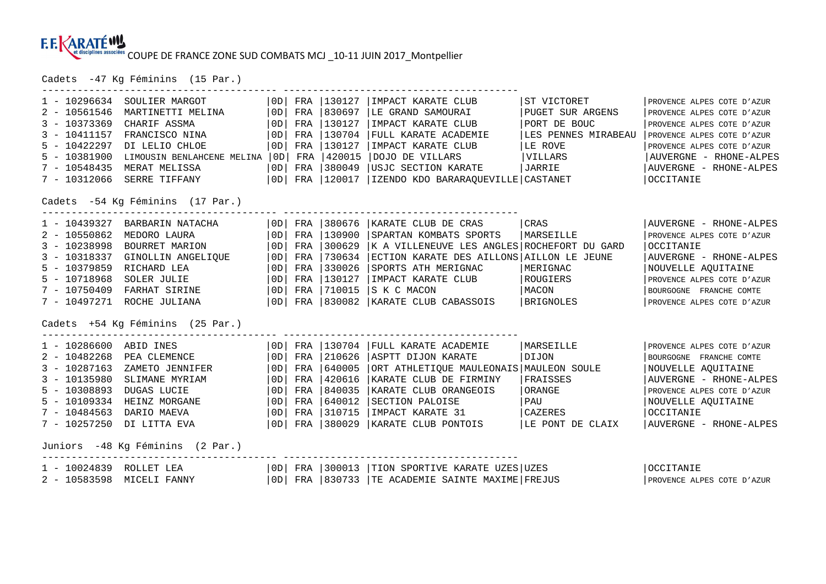Cadets -47 Kg Féminins (15 Par.)

| $1 - 10296634$                   | SOULIER MARGOT                   | OD | FRA | 130127 | IMPACT KARATE CLUB                                     | ST VICTORET         | PROVENCE ALPES COTE D'AZUR |  |  |  |
|----------------------------------|----------------------------------|----|-----|--------|--------------------------------------------------------|---------------------|----------------------------|--|--|--|
| $2 - 10561546$                   | MARTINETTI MELINA                | 0D | FRA | 830697 | LE GRAND SAMOURAI                                      | PUGET SUR ARGENS    | PROVENCE ALPES COTE D'AZUR |  |  |  |
| $3 - 10373369$                   | CHARIF ASSMA                     | OD | FRA | 130127 | IMPACT KARATE CLUB                                     | PORT DE BOUC        | PROVENCE ALPES COTE D'AZUR |  |  |  |
| $3 - 10411157$                   | FRANCISCO NINA                   | 0D | FRA | 130704 | FULL KARATE ACADEMIE                                   | LES PENNES MIRABEAU | PROVENCE ALPES COTE D'AZUR |  |  |  |
| $5 - 10422297$                   | DI LELIO CHLOE                   | 0D | FRA | 130127 | IMPACT KARATE CLUB                                     | LE ROVE             | PROVENCE ALPES COTE D'AZUR |  |  |  |
| $5 - 10381900$                   | LIMOUSIN BENLAHCENE MELINA       | OD | FRA | 420015 | DOJO DE VILLARS                                        | VILLARS             | AUVERGNE - RHONE-ALPES     |  |  |  |
| $7 - 10548435$                   | MERAT MELISSA                    | OD | FRA | 380049 | USJC SECTION KARATE                                    | JARRIE              | AUVERGNE - RHONE-ALPES     |  |  |  |
| $7 - 10312066$                   | SERRE TIFFANY                    | OD | FRA | 120017 | IZENDO KDO BARARAQUEVILLE CASTANET                     |                     | <b>OCCITANIE</b>           |  |  |  |
| Cadets -54 Kg Féminins (17 Par.) |                                  |    |     |        |                                                        |                     |                            |  |  |  |
| $1 - 10439327$                   | BARBARIN NATACHA                 | OD | FRA | 380676 | KARATE CLUB DE CRAS                                    | CRAS                | AUVERGNE - RHONE-ALPES     |  |  |  |
| $2 - 10550862$                   | MEDORO LAURA                     | OD | FRA | 130900 | SPARTAN KOMBATS SPORTS                                 | MARSEILLE           | PROVENCE ALPES COTE D'AZUR |  |  |  |
| $3 - 10238998$                   | BOURRET MARION                   | OD | FRA | 300629 | K A VILLENEUVE LES ANGLES ROCHEFORT DU GARD            |                     | OCCITANIE                  |  |  |  |
| $3 - 10318337$                   | GINOLLIN ANGELIQUE               | OD | FRA | 730634 | ECTION KARATE DES AILLONS AILLON LE JEUNE              |                     | AUVERGNE - RHONE-ALPES     |  |  |  |
| $5 - 10379859$                   | RICHARD LEA                      | OD | FRA | 330026 | SPORTS ATH MERIGNAC                                    | MERIGNAC            | NOUVELLE AQUITAINE         |  |  |  |
| $5 - 10718968$                   | SOLER JULIE                      | OD | FRA | 130127 | IMPACT KARATE CLUB                                     | ROUGIERS            | PROVENCE ALPES COTE D'AZUR |  |  |  |
| $7 - 10750409$                   | FARHAT SIRINE                    | OD | FRA | 710015 | S K C MACON                                            | MACON               | BOURGOGNE FRANCHE COMTE    |  |  |  |
| 7 - 10497271                     | ROCHE JULIANA                    | OD | FRA | 830082 | KARATE CLUB CABASSOIS                                  | BRIGNOLES           | PROVENCE ALPES COTE D'AZUR |  |  |  |
|                                  | Cadets +54 Kg Féminins (25 Par.) |    |     |        |                                                        |                     |                            |  |  |  |
| $1 - 10286600$                   | ABID INES                        | OD | FRA | 130704 | FULL KARATE ACADEMIE                                   | MARSEILLE           | PROVENCE ALPES COTE D'AZUR |  |  |  |
| $2 - 10482268$                   | PEA CLEMENCE                     | OD | FRA | 210626 | ASPTT DIJON KARATE                                     | DIJON               | BOURGOGNE FRANCHE COMTE    |  |  |  |
| $3 - 10287163$                   | ZAMETO JENNIFER                  | OD | FRA | 640005 | ORT ATHLETIQUE MAULEONAIS   MAULEON SOULE              |                     | NOUVELLE AOUITAINE         |  |  |  |
| $3 - 10135980$                   | SLIMANE MYRIAM                   | OD | FRA | 420616 | KARATE CLUB DE FIRMINY                                 | FRAISSES            | AUVERGNE - RHONE-ALPES     |  |  |  |
| $5 - 10308893$                   | <b>DUGAS LUCIE</b>               | OD | FRA | 840035 | KARATE CLUB ORANGEOIS                                  | ORANGE              | PROVENCE ALPES COTE D'AZUR |  |  |  |
| $5 - 10109334$                   | HEINZ MORGANE                    | OD | FRA | 640012 | SECTION PALOISE                                        | PAU                 | NOUVELLE AQUITAINE         |  |  |  |
| $7 - 10484563$                   | DARIO MAEVA                      | OD | FRA | 310715 | IMPACT KARATE 31                                       | <b>CAZERES</b>      | <b>OCCITANIE</b>           |  |  |  |
| $7 - 10257250$                   | DI LITTA EVA                     | OD | FRA | 380029 | KARATE CLUB PONTOIS                                    | LE PONT DE CLAIX    | AUVERGNE - RHONE-ALPES     |  |  |  |
| Juniors -48 Kg Féminins (2 Par.) |                                  |    |     |        |                                                        |                     |                            |  |  |  |
| $1 - 10024839$                   | ROLLET LEA                       |    |     |        | OD   FRA   300013   TION SPORTIVE KARATE UZES   UZES   |                     | <b>OCCITANIE</b>           |  |  |  |
| $2 - 10583598$                   | MICELI FANNY                     |    |     |        | OD   FRA   830733   TE ACADEMIE SAINTE MAXIME   FREJUS |                     | PROVENCE ALPES COTE D'AZUR |  |  |  |
|                                  |                                  |    |     |        |                                                        |                     |                            |  |  |  |